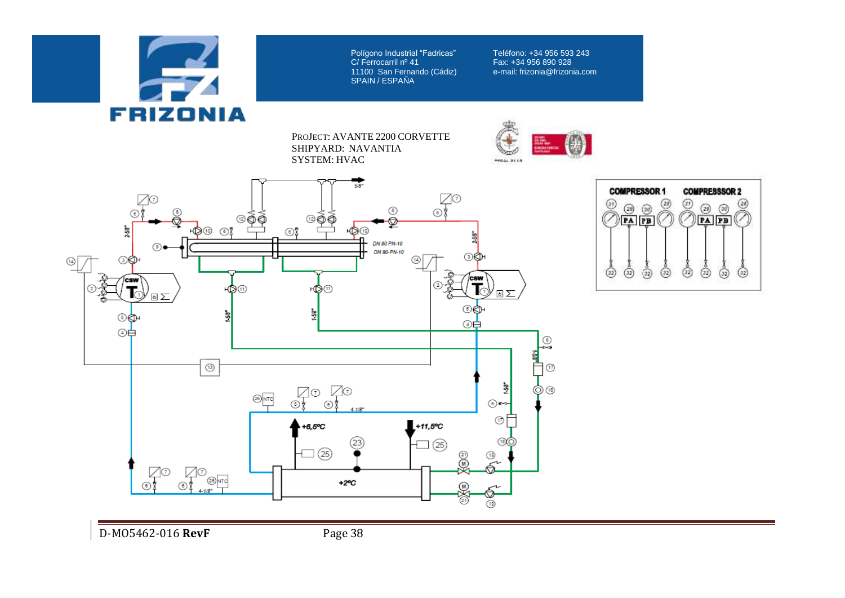

Polígono Industrial "Fadricas"<br>C/ Ferrocarril nº 41 11100 San Fernando (Cádiz) e-mail: frizonia@frizonia.com SPAIN / ESPANA

Teléfono: +34 956 593 243 Fax: +34 956 890 928<br>e-mail: frizonia@frizonia.com

PROJECT: AVANTE 2200 CORVETTE SHIPYARD: NAVANTIA SYSTEM: HVAC





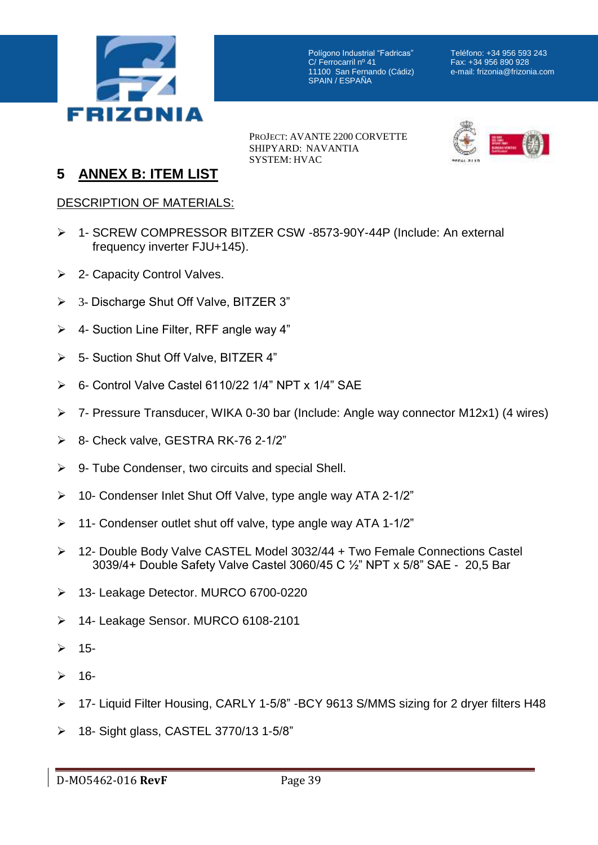

Polígono Industrial "Fadricas"<br>C/ Ferrocarril nº 41 11100 San Fernando (Cádiz) SPAIN / ESPAÑA

Teléfono: +34 956 593 243 Fax: +34 956 890 928<br>e-mail: frizonia@frizonia.com

PROJECT: AVANTE 2200 CORVETTE SHIPYARD: NAVANTIA SYSTEM: HVAC



## **5 ANNEX B: ITEM LIST**

## DESCRIPTION OF MATERIALS:

- 1- SCREW COMPRESSOR BITZER CSW -8573-90Y-44P (Include: An external frequency inverter FJU+145).
- **►** 2- Capacity Control Valves.
- 3- Discharge Shut Off Valve, BITZER 3"
- $\triangleright$  4- Suction Line Filter, RFF angle way 4"
- 5- Suction Shut Off Valve, BITZER 4"
- 6- Control Valve Castel 6110/22 1/4" NPT x 1/4" SAE
- 7- Pressure Transducer, WIKA 0-30 bar (Include: Angle way connector M12x1) (4 wires)
- 8- Check valve, GESTRA RK-76 2-1/2"
- $\triangleright$  9- Tube Condenser, two circuits and special Shell.
- $\geq$  10- Condenser Inlet Shut Off Valve, type angle way ATA 2-1/2"
- $\geq$  11- Condenser outlet shut off valve, type angle way ATA 1-1/2"
- 12- Double Body Valve CASTEL Model 3032/44 + Two Female Connections Castel 3039/4+ Double Safety Valve Castel 3060/45 C ½" NPT x 5/8" SAE - 20,5 Bar
- 13- Leakage Detector. MURCO 6700-0220
- 14- Leakage Sensor. MURCO 6108-2101
- $2 15$ -
- $2 16$ -
- 17- Liquid Filter Housing, CARLY 1-5/8" -BCY 9613 S/MMS sizing for 2 dryer filters H48
- 18- Sight glass, CASTEL 3770/13 1-5/8"